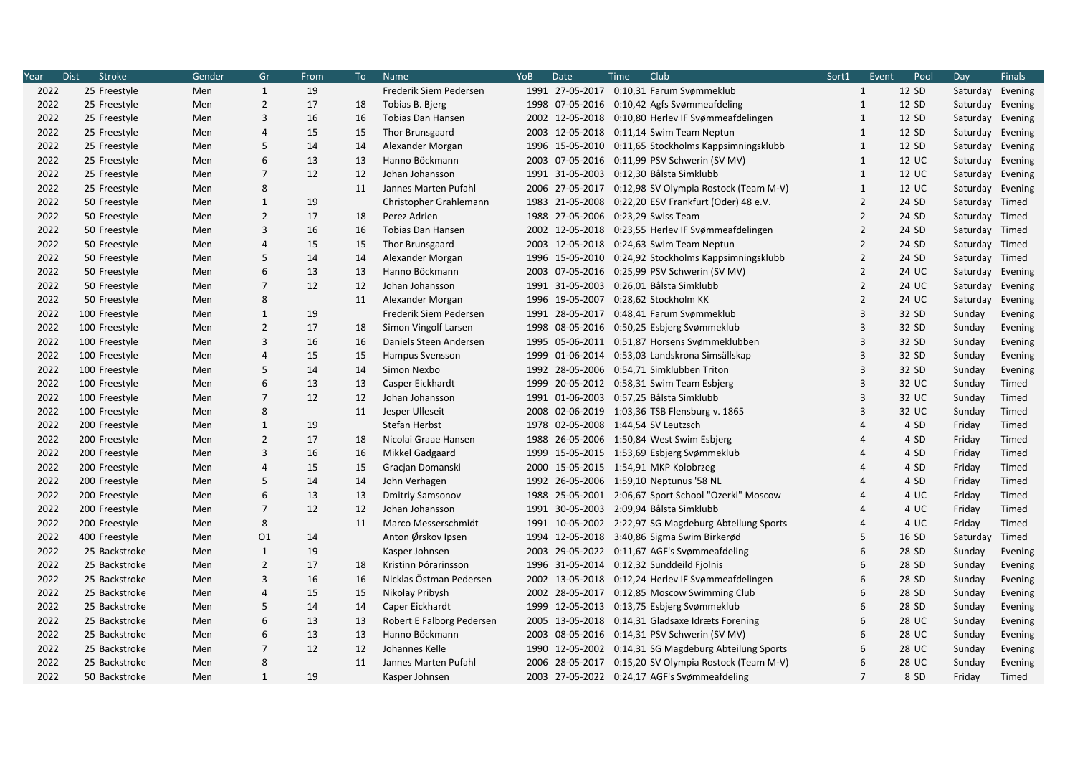| Year | <b>Stroke</b><br><b>Dist</b> | Gender | Gr             | From | To | <b>Name</b>               | YoB | Date | Club<br>Time                                          | Sort1                   | Event | Pool  | Day              | <b>Finals</b> |
|------|------------------------------|--------|----------------|------|----|---------------------------|-----|------|-------------------------------------------------------|-------------------------|-------|-------|------------------|---------------|
| 2022 | 25 Freestyle                 | Men    | $\mathbf{1}$   | 19   |    | Frederik Siem Pedersen    |     |      | 1991 27-05-2017 0:10,31 Farum Svømmeklub              | $\mathbf{1}$            |       | 12 SD | Saturday Evening |               |
| 2022 | 25 Freestyle                 | Men    | $\overline{2}$ | 17   | 18 | Tobias B. Bjerg           |     |      | 1998 07-05-2016 0:10,42 Agfs Svømmeafdeling           | $\mathbf{1}$            |       | 12 SD | Saturday Evening |               |
| 2022 | 25 Freestyle                 | Men    | 3              | 16   | 16 | <b>Tobias Dan Hansen</b>  |     |      | 2002 12-05-2018 0:10,80 Herlev IF Svømmeafdelingen    | $\mathbf{1}$            |       | 12 SD | Saturday Evening |               |
| 2022 | 25 Freestyle                 | Men    | $\overline{4}$ | 15   | 15 | Thor Brunsgaard           |     |      | 2003 12-05-2018 0:11,14 Swim Team Neptun              | $\mathbf{1}$            |       | 12 SD | Saturday Evening |               |
| 2022 | 25 Freestyle                 | Men    | 5              | 14   | 14 | Alexander Morgan          |     |      | 1996 15-05-2010 0:11,65 Stockholms Kappsimningsklubb  | $\mathbf{1}$            |       | 12 SD | Saturday Evening |               |
| 2022 | 25 Freestyle                 | Men    | 6              | 13   | 13 | Hanno Böckmann            |     |      | 2003 07-05-2016 0:11,99 PSV Schwerin (SV MV)          | $\mathbf{1}$            |       | 12 UC | Saturday Evening |               |
| 2022 | 25 Freestyle                 | Men    | $\overline{7}$ | 12   | 12 | Johan Johansson           |     |      | 1991 31-05-2003 0:12,30 Bålsta Simklubb               | $\mathbf{1}$            |       | 12 UC | Saturday Evening |               |
| 2022 | 25 Freestyle                 | Men    | 8              |      | 11 | Jannes Marten Pufahl      |     |      | 2006 27-05-2017 0:12,98 SV Olympia Rostock (Team M-V) | $\mathbf{1}$            |       | 12 UC | Saturday Evening |               |
| 2022 | 50 Freestyle                 | Men    | $\mathbf{1}$   | 19   |    | Christopher Grahlemann    |     |      | 1983 21-05-2008 0:22,20 ESV Frankfurt (Oder) 48 e.V.  | $\overline{2}$          |       | 24 SD | Saturday Timed   |               |
| 2022 | 50 Freestyle                 | Men    | $\overline{2}$ | 17   | 18 | Perez Adrien              |     |      | 1988 27-05-2006 0:23,29 Swiss Team                    | $\overline{2}$          |       | 24 SD | Saturday Timed   |               |
| 2022 | 50 Freestyle                 | Men    | $\overline{3}$ | 16   | 16 | <b>Tobias Dan Hansen</b>  |     |      | 2002 12-05-2018 0:23,55 Herlev IF Svømmeafdelingen    | $\overline{2}$          |       | 24 SD | Saturday Timed   |               |
| 2022 | 50 Freestyle                 | Men    | $\overline{4}$ | 15   | 15 | Thor Brunsgaard           |     |      | 2003 12-05-2018 0:24,63 Swim Team Neptun              | $\overline{2}$          |       | 24 SD | Saturday Timed   |               |
| 2022 | 50 Freestyle                 | Men    | 5              | 14   | 14 | Alexander Morgan          |     |      | 1996 15-05-2010 0:24,92 Stockholms Kappsimningsklubb  | $\overline{2}$          |       | 24 SD | Saturday Timed   |               |
| 2022 | 50 Freestyle                 | Men    | 6              | 13   | 13 | Hanno Böckmann            |     |      | 2003 07-05-2016 0:25,99 PSV Schwerin (SV MV)          | $\overline{2}$          |       | 24 UC | Saturday Evening |               |
| 2022 | 50 Freestyle                 | Men    | $\overline{7}$ | 12   | 12 | Johan Johansson           |     |      | 1991 31-05-2003 0:26,01 Bålsta Simklubb               | $\overline{2}$          |       | 24 UC | Saturday Evening |               |
| 2022 | 50 Freestyle                 | Men    | 8              |      | 11 | Alexander Morgan          |     |      | 1996 19-05-2007 0:28,62 Stockholm KK                  | $\overline{2}$          |       | 24 UC | Saturday         | Evening       |
| 2022 | 100 Freestyle                | Men    | $\mathbf{1}$   | 19   |    | Frederik Siem Pedersen    |     |      | 1991 28-05-2017 0:48,41 Farum Svømmeklub              | $\overline{\mathbf{3}}$ |       | 32 SD | Sunday           | Evening       |
| 2022 | 100 Freestyle                | Men    | $\overline{2}$ | 17   | 18 | Simon Vingolf Larsen      |     |      | 1998 08-05-2016 0:50,25 Esbjerg Svømmeklub            | 3                       |       | 32 SD | Sunday           | Evening       |
| 2022 | 100 Freestyle                | Men    | 3              | 16   | 16 | Daniels Steen Andersen    |     |      | 1995 05-06-2011 0:51,87 Horsens Svømmeklubben         | 3                       |       | 32 SD | Sunday           | Evening       |
| 2022 | 100 Freestyle                | Men    | $\overline{4}$ | 15   | 15 | Hampus Svensson           |     |      | 1999 01-06-2014 0:53,03 Landskrona Simsällskap        | $\overline{3}$          |       | 32 SD | Sunday           | Evening       |
| 2022 | 100 Freestyle                | Men    | 5              | 14   | 14 | Simon Nexbo               |     |      | 1992 28-05-2006 0:54,71 Simklubben Triton             | $\overline{3}$          |       | 32 SD | Sunday           | Evening       |
| 2022 | 100 Freestyle                | Men    | 6              | 13   | 13 | Casper Eickhardt          |     |      | 1999 20-05-2012 0:58,31 Swim Team Esbjerg             | 3                       |       | 32 UC | Sunday           | Timed         |
| 2022 | 100 Freestyle                | Men    | $\overline{7}$ | 12   | 12 | Johan Johansson           |     |      | 1991 01-06-2003 0:57,25 Bålsta Simklubb               | 3                       |       | 32 UC | Sunday           | Timed         |
| 2022 | 100 Freestyle                | Men    | 8              |      | 11 | Jesper Ulleseit           |     |      | 2008 02-06-2019 1:03,36 TSB Flensburg v. 1865         | $\overline{3}$          |       | 32 UC | Sunday           | Timed         |
| 2022 | 200 Freestyle                | Men    | $\mathbf{1}$   | 19   |    | Stefan Herbst             |     |      | 1978 02-05-2008 1:44,54 SV Leutzsch                   | $\overline{4}$          |       | 4 SD  | Friday           | Timed         |
| 2022 | 200 Freestyle                | Men    | $\overline{2}$ | 17   | 18 | Nicolai Graae Hansen      |     |      | 1988 26-05-2006 1:50,84 West Swim Esbjerg             | $\overline{4}$          |       | 4 SD  | Friday           | Timed         |
| 2022 | 200 Freestyle                | Men    | $\overline{3}$ | 16   | 16 | Mikkel Gadgaard           |     |      | 1999 15-05-2015 1:53,69 Esbjerg Svømmeklub            | $\overline{4}$          |       | 4 SD  | Friday           | Timed         |
| 2022 | 200 Freestyle                | Men    | $\overline{a}$ | 15   | 15 | Gracjan Domanski          |     |      | 2000 15-05-2015 1:54,91 MKP Kolobrzeg                 | $\Delta$                |       | 4 SD  | Friday           | Timed         |
| 2022 | 200 Freestyle                | Men    | 5              | 14   | 14 | John Verhagen             |     |      | 1992 26-05-2006 1:59,10 Neptunus '58 NL               | $\overline{4}$          |       | 4 SD  | Friday           | Timed         |
| 2022 | 200 Freestyle                | Men    | 6              | 13   | 13 | <b>Dmitriy Samsonov</b>   |     |      | 1988 25-05-2001 2:06,67 Sport School "Ozerki" Moscow  |                         |       | 4 UC  | Friday           | Timed         |
| 2022 | 200 Freestyle                | Men    | $\overline{7}$ | 12   | 12 | Johan Johansson           |     |      | 1991 30-05-2003 2:09,94 Bålsta Simklubb               | 4                       |       | 4 UC  | Friday           | Timed         |
| 2022 | 200 Freestyle                | Men    | 8              |      | 11 | Marco Messerschmidt       |     |      | 1991 10-05-2002 2:22,97 SG Magdeburg Abteilung Sports | $\overline{4}$          |       | 4 UC  | Friday           | Timed         |
| 2022 | 400 Freestyle                | Men    | 01             | 14   |    | Anton Ørskov Ipsen        |     |      | 1994 12-05-2018 3:40,86 Sigma Swim Birkerød           | 5                       |       | 16 SD | Saturday         | Timed         |
| 2022 | 25 Backstroke                | Men    | $\mathbf{1}$   | 19   |    | Kasper Johnsen            |     |      | 2003 29-05-2022 0:11,67 AGF's Svømmeafdeling          | 6                       |       | 28 SD | Sunday           | Evening       |
| 2022 | 25 Backstroke                | Men    | $\overline{2}$ | 17   | 18 | Kristinn Þórarinsson      |     |      | 1996 31-05-2014 0:12,32 Sunddeild Fjolnis             | 6                       |       | 28 SD | Sunday           | Evening       |
| 2022 | 25 Backstroke                | Men    | 3              | 16   | 16 | Nicklas Östman Pedersen   |     |      | 2002 13-05-2018 0:12,24 Herlev IF Svømmeafdelingen    | 6                       |       | 28 SD | Sunday           | Evening       |
| 2022 | 25 Backstroke                | Men    | $\overline{4}$ | 15   | 15 | Nikolay Pribysh           |     |      | 2002 28-05-2017 0:12,85 Moscow Swimming Club          | 6                       |       | 28 SD | Sunday           | Evening       |
| 2022 | 25 Backstroke                | Men    | 5              | 14   | 14 | Caper Eickhardt           |     |      | 1999 12-05-2013 0:13,75 Esbjerg Svømmeklub            | 6                       |       | 28 SD | Sunday           | Evening       |
| 2022 | 25 Backstroke                | Men    | 6              | 13   | 13 | Robert E Falborg Pedersen |     |      | 2005 13-05-2018 0:14,31 Gladsaxe Idræts Forening      | 6                       |       | 28 UC | Sunday           | Evening       |
| 2022 | 25 Backstroke                | Men    | 6              | 13   | 13 | Hanno Böckmann            |     |      | 2003 08-05-2016 0:14,31 PSV Schwerin (SV MV)          | 6                       |       | 28 UC | Sunday           | Evening       |
| 2022 | 25 Backstroke                | Men    | $\overline{7}$ | 12   | 12 | Johannes Kelle            |     |      | 1990 12-05-2002 0:14,31 SG Magdeburg Abteilung Sports | 6                       |       | 28 UC | Sunday           | Evening       |
| 2022 | 25 Backstroke                | Men    | 8              |      | 11 | Jannes Marten Pufahl      |     |      | 2006 28-05-2017 0:15,20 SV Olympia Rostock (Team M-V) | 6                       |       | 28 UC | Sunday           | Evening       |
| 2022 | 50 Backstroke                | Men    | $\mathbf{1}$   | 19   |    | Kasper Johnsen            |     |      | 2003 27-05-2022 0:24,17 AGF's Svømmeafdeling          | $\overline{7}$          |       | 8 SD  | Friday           | Timed         |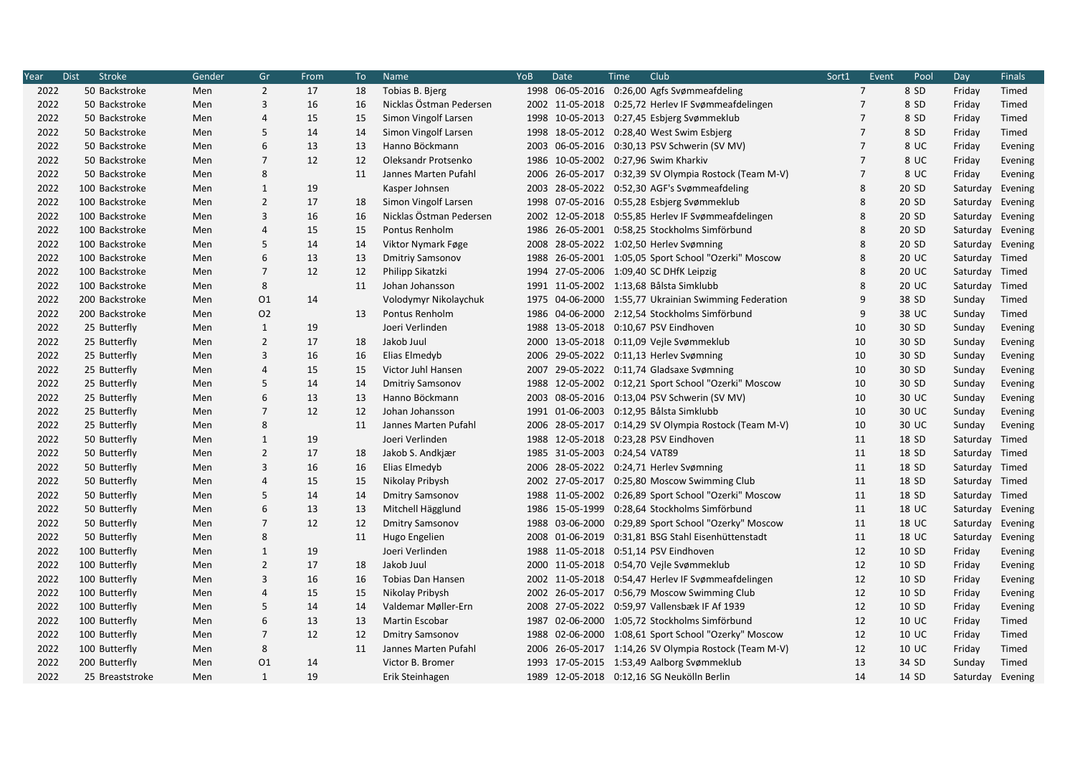| Year | <b>Stroke</b><br><b>Dist</b> | Gender | Gr             | From | To | Name                     | YoB  | Date | Club<br>Time                                          | Sort1          | Event | Pool         | Day              | <b>Finals</b> |
|------|------------------------------|--------|----------------|------|----|--------------------------|------|------|-------------------------------------------------------|----------------|-------|--------------|------------------|---------------|
| 2022 | 50 Backstroke                | Men    | $\overline{2}$ | 17   | 18 | Tobias B. Bjerg          |      |      | 1998 06-05-2016 0:26,00 Agfs Svømmeafdeling           | $\overline{7}$ |       | 8 SD         | Friday           | Timed         |
| 2022 | 50 Backstroke                | Men    | 3              | 16   | 16 | Nicklas Östman Pedersen  |      |      | 2002 11-05-2018 0:25,72 Herlev IF Svømmeafdelingen    | $\overline{7}$ |       | 8 SD         | Friday           | Timed         |
| 2022 | 50 Backstroke                | Men    | $\overline{4}$ | 15   | 15 | Simon Vingolf Larsen     |      |      | 1998 10-05-2013 0:27,45 Esbjerg Svømmeklub            | $\overline{7}$ |       | 8 SD         | Friday           | Timed         |
| 2022 | 50 Backstroke                | Men    | 5              | 14   | 14 | Simon Vingolf Larsen     |      |      | 1998 18-05-2012 0:28,40 West Swim Esbjerg             | $\overline{7}$ |       | 8 SD         | Friday           | Timed         |
| 2022 | 50 Backstroke                | Men    | 6              | 13   | 13 | Hanno Böckmann           |      |      | 2003 06-05-2016 0:30,13 PSV Schwerin (SV MV)          | 7              |       | 8 UC         | Friday           | Evening       |
| 2022 | 50 Backstroke                | Men    | $\overline{7}$ | 12   | 12 | Oleksandr Protsenko      |      |      | 1986 10-05-2002 0:27,96 Swim Kharkiv                  | $\overline{7}$ |       | 8 UC         | Friday           | Evening       |
| 2022 | 50 Backstroke                | Men    | 8              |      | 11 | Jannes Marten Pufahl     | 2006 |      | 26-05-2017 0:32,39 SV Olympia Rostock (Team M-V)      | $\overline{7}$ |       | 8 UC         | Friday           | Evening       |
| 2022 | 100 Backstroke               | Men    | $\mathbf{1}$   | 19   |    | Kasper Johnsen           |      |      | 2003 28-05-2022 0:52,30 AGF's Svømmeafdeling          | 8              |       | 20 SD        | Saturday         | Evening       |
| 2022 | 100 Backstroke               | Men    | $\overline{2}$ | 17   | 18 | Simon Vingolf Larsen     |      |      | 1998 07-05-2016 0:55,28 Esbjerg Svømmeklub            | 8              |       | 20 SD        | Saturday         | Evening       |
| 2022 | 100 Backstroke               | Men    | 3              | 16   | 16 | Nicklas Östman Pedersen  |      |      | 2002 12-05-2018 0:55,85 Herlev IF Svømmeafdelingen    | 8              |       | 20 SD        | Saturday         | Evening       |
| 2022 | 100 Backstroke               | Men    | $\overline{4}$ | 15   | 15 | Pontus Renholm           |      |      | 1986 26-05-2001 0:58,25 Stockholms Simförbund         | 8              |       | 20 SD        | Saturday Evening |               |
| 2022 | 100 Backstroke               | Men    | 5              | 14   | 14 | Viktor Nymark Føge       |      |      | 2008 28-05-2022 1:02,50 Herlev Svømning               | 8              |       | 20 SD        | Saturday Evening |               |
| 2022 | 100 Backstroke               | Men    | 6              | 13   | 13 | <b>Dmitriy Samsonov</b>  |      |      | 1988 26-05-2001 1:05,05 Sport School "Ozerki" Moscow  | 8              |       | 20 UC        | Saturday Timed   |               |
| 2022 | 100 Backstroke               | Men    | $\overline{7}$ | 12   | 12 | Philipp Sikatzki         |      |      | 1994 27-05-2006 1:09,40 SC DHfK Leipzig               | 8              |       | 20 UC        | Saturday Timed   |               |
| 2022 | 100 Backstroke               | Men    | 8              |      | 11 | Johan Johansson          |      |      | 1991 11-05-2002 1:13,68 Bålsta Simklubb               | 8              |       | 20 UC        | Saturday         | Timed         |
| 2022 | 200 Backstroke               | Men    | 01             | 14   |    | Volodymyr Nikolaychuk    |      |      | 1975 04-06-2000 1:55,77 Ukrainian Swimming Federation | 9              |       | 38 SD        | Sunday           | Timed         |
| 2022 | 200 Backstroke               | Men    | 02             |      | 13 | Pontus Renholm           | 1986 |      | 04-06-2000 2:12,54 Stockholms Simförbund              | 9              |       | 38 UC        | Sunday           | Timed         |
| 2022 | 25 Butterfly                 | Men    | $\mathbf{1}$   | 19   |    | Joeri Verlinden          |      |      | 1988 13-05-2018 0:10,67 PSV Eindhoven                 | 10             |       | 30 SD        | Sunday           | Evening       |
| 2022 | 25 Butterfly                 | Men    | $\overline{2}$ | 17   | 18 | Jakob Juul               |      |      | 2000 13-05-2018 0:11,09 Vejle Svømmeklub              | 10             |       | 30 SD        | Sunday           | Evening       |
| 2022 | 25 Butterfly                 | Men    | 3              | 16   | 16 | Elias Elmedyb            |      |      | 2006 29-05-2022 0:11,13 Herlev Svømning               | 10             |       | 30 SD        | Sunday           | Evening       |
| 2022 | 25 Butterfly                 | Men    | $\overline{4}$ | 15   | 15 | Victor Juhl Hansen       |      |      | 2007 29-05-2022 0:11,74 Gladsaxe Svømning             | 10             |       | 30 SD        | Sunday           | Evening       |
| 2022 | 25 Butterfly                 | Men    | 5              | 14   | 14 | <b>Dmitriy Samsonov</b>  |      |      | 1988 12-05-2002 0:12,21 Sport School "Ozerki" Moscow  | 10             |       | 30 SD        | Sunday           | Evening       |
| 2022 | 25 Butterfly                 | Men    | 6              | 13   | 13 | Hanno Böckmann           |      |      | 2003 08-05-2016 0:13,04 PSV Schwerin (SV MV)          | 10             |       | 30 UC        | Sunday           | Evening       |
| 2022 | 25 Butterfly                 | Men    | $\overline{7}$ | 12   | 12 | Johan Johansson          |      |      | 1991 01-06-2003 0:12,95 Bålsta Simklubb               | 10             |       | 30 UC        | Sunday           | Evening       |
| 2022 | 25 Butterfly                 | Men    | 8              |      | 11 | Jannes Marten Pufahl     |      |      | 2006 28-05-2017 0:14,29 SV Olympia Rostock (Team M-V) | 10             |       | 30 UC        | Sunday           | Evening       |
| 2022 | 50 Butterfly                 | Men    | $\mathbf{1}$   | 19   |    | Joeri Verlinden          |      |      | 1988 12-05-2018 0:23,28 PSV Eindhoven                 | 11             |       | 18 SD        | Saturday         | Timed         |
| 2022 | 50 Butterfly                 | Men    | $\overline{2}$ | 17   | 18 | Jakob S. Andkjær         |      |      | 1985 31-05-2003 0:24,54 VAT89                         | 11             |       | 18 SD        | Saturday Timed   |               |
| 2022 | 50 Butterfly                 | Men    | 3              | 16   | 16 | Elias Elmedyb            |      |      | 2006 28-05-2022 0:24,71 Herlev Svømning               | 11             |       | 18 SD        | Saturday Timed   |               |
| 2022 | 50 Butterfly                 | Men    | 4              | 15   | 15 | Nikolay Pribysh          |      |      | 2002 27-05-2017 0:25,80 Moscow Swimming Club          | 11             |       | 18 SD        | Saturday Timed   |               |
| 2022 | 50 Butterfly                 | Men    | 5              | 14   | 14 | <b>Dmitry Samsonov</b>   |      |      | 1988 11-05-2002 0:26,89 Sport School "Ozerki" Moscow  | 11             |       | 18 SD        | Saturday Timed   |               |
| 2022 | 50 Butterfly                 | Men    | 6              | 13   | 13 | Mitchell Hägglund        |      |      | 1986 15-05-1999 0:28,64 Stockholms Simförbund         | 11             |       | <b>18 UC</b> | Saturday         | Evening       |
| 2022 | 50 Butterfly                 | Men    | $\overline{7}$ | 12   | 12 | <b>Dmitry Samsonov</b>   |      |      | 1988 03-06-2000 0:29,89 Sport School "Ozerky" Moscow  | 11             |       | <b>18 UC</b> | Saturday Evening |               |
| 2022 | 50 Butterfly                 | Men    | 8              |      | 11 | Hugo Engelien            |      |      | 2008 01-06-2019 0:31,81 BSG Stahl Eisenhüttenstadt    | 11             |       | 18 UC        | Saturday         | Evening       |
| 2022 | 100 Butterfly                | Men    | $\mathbf{1}$   | 19   |    | Joeri Verlinden          |      |      | 1988 11-05-2018 0:51,14 PSV Eindhoven                 | 12             |       | 10 SD        | Friday           | Evening       |
| 2022 | 100 Butterfly                | Men    | $\overline{2}$ | 17   | 18 | Jakob Juul               |      |      | 2000 11-05-2018 0:54,70 Veile Svømmeklub              | 12             |       | 10 SD        | Friday           | Evening       |
| 2022 | 100 Butterfly                | Men    | 3              | 16   | 16 | <b>Tobias Dan Hansen</b> |      |      | 2002 11-05-2018 0:54,47 Herlev IF Svømmeafdelingen    | 12             |       | 10 SD        | Friday           | Evening       |
| 2022 | 100 Butterfly                | Men    | 4              | 15   | 15 | Nikolay Pribysh          |      |      | 2002 26-05-2017 0:56,79 Moscow Swimming Club          | 12             |       | 10 SD        | Friday           | Evening       |
| 2022 | 100 Butterfly                | Men    | 5              | 14   | 14 | Valdemar Møller-Ern      |      |      | 2008 27-05-2022 0:59,97 Vallensbæk IF Af 1939         | 12             |       | 10 SD        | Friday           | Evening       |
| 2022 | 100 Butterfly                | Men    | 6              | 13   | 13 | Martin Escobar           |      |      | 1987 02-06-2000 1:05,72 Stockholms Simförbund         | 12             |       | 10 UC        | Friday           | Timed         |
| 2022 | 100 Butterfly                | Men    | $\overline{7}$ | 12   | 12 | <b>Dmitry Samsonov</b>   |      |      | 1988 02-06-2000 1:08,61 Sport School "Ozerky" Moscow  | 12             |       | 10 UC        | Friday           | Timed         |
| 2022 | 100 Butterfly                | Men    | 8              |      | 11 | Jannes Marten Pufahl     | 2006 |      | 26-05-2017 1:14,26 SV Olympia Rostock (Team M-V)      | 12             |       | 10 UC        | Friday           | Timed         |
| 2022 | 200 Butterfly                | Men    | 01             | 14   |    | Victor B. Bromer         |      |      | 1993 17-05-2015 1:53,49 Aalborg Svømmeklub            | 13             |       | 34 SD        | Sunday           | Timed         |
| 2022 | 25 Breaststroke              | Men    | $\mathbf{1}$   | 19   |    | Erik Steinhagen          |      |      | 1989 12-05-2018 0:12,16 SG Neukölln Berlin            | 14             |       | 14 SD        | Saturday         | Evening       |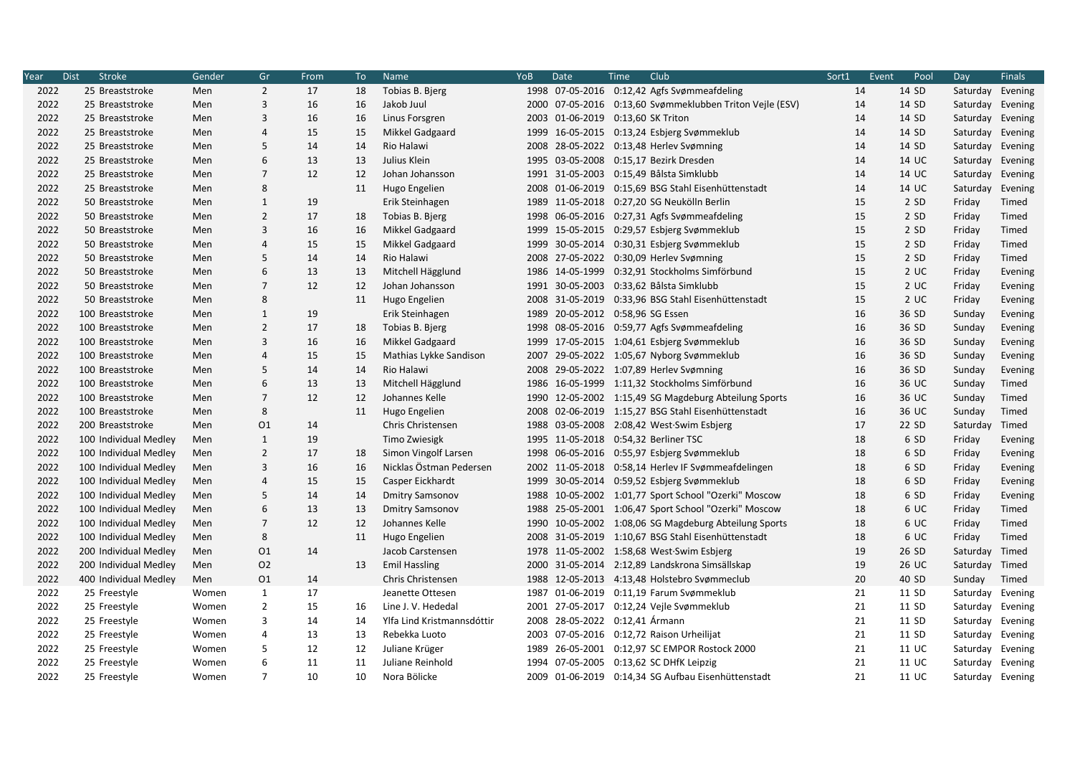| Year | <b>Stroke</b><br><b>Dist</b> | Gender | Gr             | From | To | Name                       | YoB  | Date | Club<br>Time                                             | Sort1 | Event | Pool  | Day              | <b>Finals</b> |
|------|------------------------------|--------|----------------|------|----|----------------------------|------|------|----------------------------------------------------------|-------|-------|-------|------------------|---------------|
| 2022 | 25 Breaststroke              | Men    | $\overline{2}$ | 17   | 18 | Tobias B. Bjerg            |      |      | 1998 07-05-2016 0:12,42 Agfs Svømmeafdeling              | 14    |       | 14 SD | Saturday         | Evening       |
| 2022 | 25 Breaststroke              | Men    | 3              | 16   | 16 | Jakob Juul                 |      |      | 2000 07-05-2016 0:13,60 Svømmeklubben Triton Veile (ESV) | 14    |       | 14 SD | Saturday         | Evening       |
| 2022 | 25 Breaststroke              | Men    | 3              | 16   | 16 | Linus Forsgren             | 2003 |      | 01-06-2019 0:13,60 SK Triton                             | 14    |       | 14 SD | Saturday         | Evening       |
| 2022 | 25 Breaststroke              | Men    | 4              | 15   | 15 | Mikkel Gadgaard            |      |      | 1999 16-05-2015 0:13,24 Esbjerg Svømmeklub               | 14    |       | 14 SD | Saturday         | Evening       |
| 2022 | 25 Breaststroke              | Men    | 5              | 14   | 14 | Rio Halawi                 | 2008 |      | 28-05-2022 0:13,48 Herlev Svømning                       | 14    |       | 14 SD | Saturday         | Evening       |
| 2022 | 25 Breaststroke              | Men    | 6              | 13   | 13 | Julius Klein               | 1995 |      | 03-05-2008 0:15,17 Bezirk Dresden                        | 14    |       | 14 UC | Saturday Evening |               |
| 2022 | 25 Breaststroke              | Men    | $\overline{7}$ | 12   | 12 | Johan Johansson            |      |      | 1991 31-05-2003 0:15,49 Bålsta Simklubb                  | 14    |       | 14 UC | Saturday         | Evening       |
| 2022 | 25 Breaststroke              | Men    | 8              |      | 11 | Hugo Engelien              |      |      | 2008 01-06-2019 0:15,69 BSG Stahl Eisenhüttenstadt       | 14    |       | 14 UC | Saturday         | Evening       |
| 2022 | 50 Breaststroke              | Men    | $\mathbf{1}$   | 19   |    | Erik Steinhagen            |      |      | 1989 11-05-2018 0:27,20 SG Neukölln Berlin               | 15    |       | 2 SD  | Friday           | Timed         |
| 2022 | 50 Breaststroke              | Men    | $\overline{2}$ | 17   | 18 | Tobias B. Bjerg            | 1998 |      | 06-05-2016 0:27,31 Agfs Svømmeafdeling                   | 15    |       | 2 SD  | Friday           | Timed         |
| 2022 | 50 Breaststroke              | Men    | 3              | 16   | 16 | Mikkel Gadgaard            |      |      | 1999 15-05-2015 0:29,57 Esbjerg Svømmeklub               | 15    |       | 2 SD  | Friday           | Timed         |
| 2022 | 50 Breaststroke              | Men    | 4              | 15   | 15 | Mikkel Gadgaard            | 1999 |      | 30-05-2014 0:30,31 Esbjerg Svømmeklub                    | 15    |       | 2 SD  | Friday           | Timed         |
| 2022 | 50 Breaststroke              | Men    | 5              | 14   | 14 | Rio Halawi                 |      |      | 2008 27-05-2022 0:30,09 Herlev Svømning                  | 15    |       | 2 SD  | Friday           | Timed         |
| 2022 | 50 Breaststroke              | Men    | 6              | 13   | 13 | Mitchell Hägglund          |      |      | 1986 14-05-1999 0:32,91 Stockholms Simförbund            | 15    |       | 2 UC  | Friday           | Evening       |
| 2022 | 50 Breaststroke              | Men    | $\overline{7}$ | 12   | 12 | Johan Johansson            |      |      | 1991 30-05-2003 0:33,62 Bålsta Simklubb                  | 15    |       | 2 UC  | Friday           | Evening       |
| 2022 | 50 Breaststroke              | Men    | 8              |      | 11 | Hugo Engelien              |      |      | 2008 31-05-2019 0:33,96 BSG Stahl Eisenhüttenstadt       | 15    |       | 2 UC  | Friday           | Evening       |
| 2022 | 100 Breaststroke             | Men    | $\mathbf{1}$   | 19   |    | Erik Steinhagen            | 1989 |      | 20-05-2012 0:58,96 SG Essen                              | 16    |       | 36 SD | Sunday           | Evening       |
| 2022 | 100 Breaststroke             | Men    | $\overline{2}$ | 17   | 18 | Tobias B. Bjerg            |      |      | 1998 08-05-2016 0:59,77 Agfs Svømmeafdeling              | 16    |       | 36 SD | Sunday           | Evening       |
| 2022 | 100 Breaststroke             | Men    | 3              | 16   | 16 | Mikkel Gadgaard            |      |      | 1999 17-05-2015 1:04,61 Esbjerg Svømmeklub               | 16    |       | 36 SD | Sunday           | Evening       |
| 2022 | 100 Breaststroke             | Men    | $\overline{4}$ | 15   | 15 | Mathias Lykke Sandison     |      |      | 2007 29-05-2022 1:05,67 Nyborg Svømmeklub                | 16    |       | 36 SD | Sunday           | Evening       |
| 2022 | 100 Breaststroke             | Men    | 5              | 14   | 14 | Rio Halawi                 |      |      | 2008 29-05-2022 1:07,89 Herley Svømning                  | 16    |       | 36 SD | Sunday           | Evening       |
| 2022 | 100 Breaststroke             | Men    | 6              | 13   | 13 | Mitchell Hägglund          |      |      | 1986 16-05-1999 1:11,32 Stockholms Simförbund            | 16    |       | 36 UC | Sunday           | Timed         |
| 2022 | 100 Breaststroke             | Men    | $\overline{7}$ | 12   | 12 | Johannes Kelle             |      |      | 1990 12-05-2002 1:15,49 SG Magdeburg Abteilung Sports    | 16    |       | 36 UC | Sunday           | Timed         |
| 2022 | 100 Breaststroke             | Men    | 8              |      | 11 | Hugo Engelien              | 2008 |      | 02-06-2019 1:15,27 BSG Stahl Eisenhüttenstadt            | 16    |       | 36 UC | Sunday           | Timed         |
| 2022 | 200 Breaststroke             | Men    | 01             | 14   |    | Chris Christensen          |      |      | 1988 03-05-2008 2:08,42 West Swim Esbjerg                | 17    |       | 22 SD | Saturday         | Timed         |
| 2022 | 100 Individual Medley        | Men    | $\mathbf{1}$   | 19   |    | Timo Zwiesigk              |      |      | 1995 11-05-2018 0:54,32 Berliner TSC                     | 18    |       | 6 SD  | Friday           | Evening       |
| 2022 | 100 Individual Medley        | Men    | $\overline{2}$ | 17   | 18 | Simon Vingolf Larsen       |      |      | 1998 06-05-2016 0:55,97 Esbjerg Svømmeklub               | 18    |       | 6 SD  | Friday           | Evening       |
| 2022 | 100 Individual Medley        | Men    | 3              | 16   | 16 | Nicklas Östman Pedersen    |      |      | 2002 11-05-2018 0:58,14 Herlev IF Svømmeafdelingen       | 18    |       | 6 SD  | Friday           | Evening       |
| 2022 | 100 Individual Medley        | Men    | 4              | 15   | 15 | Casper Eickhardt           |      |      | 1999 30-05-2014 0:59,52 Esbjerg Svømmeklub               | 18    |       | 6 SD  | Friday           | Evening       |
| 2022 | 100 Individual Medley        | Men    | 5              | 14   | 14 | <b>Dmitry Samsonov</b>     |      |      | 1988 10-05-2002 1:01,77 Sport School "Ozerki" Moscow     | 18    |       | 6 SD  | Friday           | Evening       |
| 2022 | 100 Individual Medley        | Men    | 6              | 13   | 13 | <b>Dmitry Samsonov</b>     | 1988 |      | 25-05-2001 1:06,47 Sport School "Ozerki" Moscow          | 18    |       | 6 UC  | Friday           | Timed         |
| 2022 | 100 Individual Medley        | Men    | $\overline{7}$ | 12   | 12 | Johannes Kelle             |      |      | 1990 10-05-2002 1:08,06 SG Magdeburg Abteilung Sports    | 18    |       | 6 UC  | Friday           | Timed         |
| 2022 | 100 Individual Medley        | Men    | 8              |      | 11 | Hugo Engelien              |      |      | 2008 31-05-2019 1:10,67 BSG Stahl Eisenhüttenstadt       | 18    |       | 6 UC  | Friday           | Timed         |
| 2022 | 200 Individual Medley        | Men    | 01             | 14   |    | Jacob Carstensen           | 1978 |      | 11-05-2002 1:58,68 West.Swim Esbjerg                     | 19    |       | 26 SD | Saturday         | Timed         |
| 2022 | 200 Individual Medley        | Men    | 02             |      | 13 | <b>Emil Hassling</b>       |      |      | 2000 31-05-2014 2:12,89 Landskrona Simsällskap           | 19    |       | 26 UC | Saturday         | Timed         |
| 2022 | 400 Individual Medley        | Men    | 01             | 14   |    | Chris Christensen          |      |      | 1988 12-05-2013 4:13,48 Holstebro Svømmeclub             | 20    |       | 40 SD | Sunday           | Timed         |
| 2022 | 25 Freestyle                 | Women  | $\mathbf{1}$   | 17   |    | Jeanette Ottesen           | 1987 |      | 01-06-2019 0:11,19 Farum Svømmeklub                      | 21    |       | 11 SD | Saturday         | Evening       |
| 2022 | 25 Freestyle                 | Women  | $\overline{2}$ | 15   | 16 | Line J. V. Hededal         |      |      | 2001 27-05-2017 0:12,24 Vejle Svømmeklub                 | 21    |       | 11 SD | Saturday Evening |               |
| 2022 | 25 Freestyle                 | Women  | 3              | 14   | 14 | Ylfa Lind Kristmannsdóttir |      |      | 2008 28-05-2022 0:12,41 Ármann                           | 21    |       | 11 SD | Saturday Evening |               |
| 2022 | 25 Freestyle                 | Women  | 4              | 13   | 13 | Rebekka Luoto              |      |      | 2003 07-05-2016 0:12,72 Raison Urheilijat                | 21    |       | 11 SD | Saturday Evening |               |
| 2022 | 25 Freestyle                 | Women  | 5              | 12   | 12 | Juliane Krüger             | 1989 |      | 26-05-2001 0:12,97 SC EMPOR Rostock 2000                 | 21    |       | 11 UC | Saturday         | Evening       |
| 2022 | 25 Freestyle                 | Women  | 6              | 11   | 11 | Juliane Reinhold           |      |      | 1994 07-05-2005 0:13,62 SC DHfK Leipzig                  | 21    |       | 11 UC | Saturday Evening |               |
| 2022 | 25 Freestyle                 | Women  | $\overline{7}$ | 10   | 10 | Nora Bölicke               |      |      | 2009 01-06-2019 0:14,34 SG Aufbau Eisenhüttenstadt       | 21    |       | 11 UC | Saturday Evening |               |
|      |                              |        |                |      |    |                            |      |      |                                                          |       |       |       |                  |               |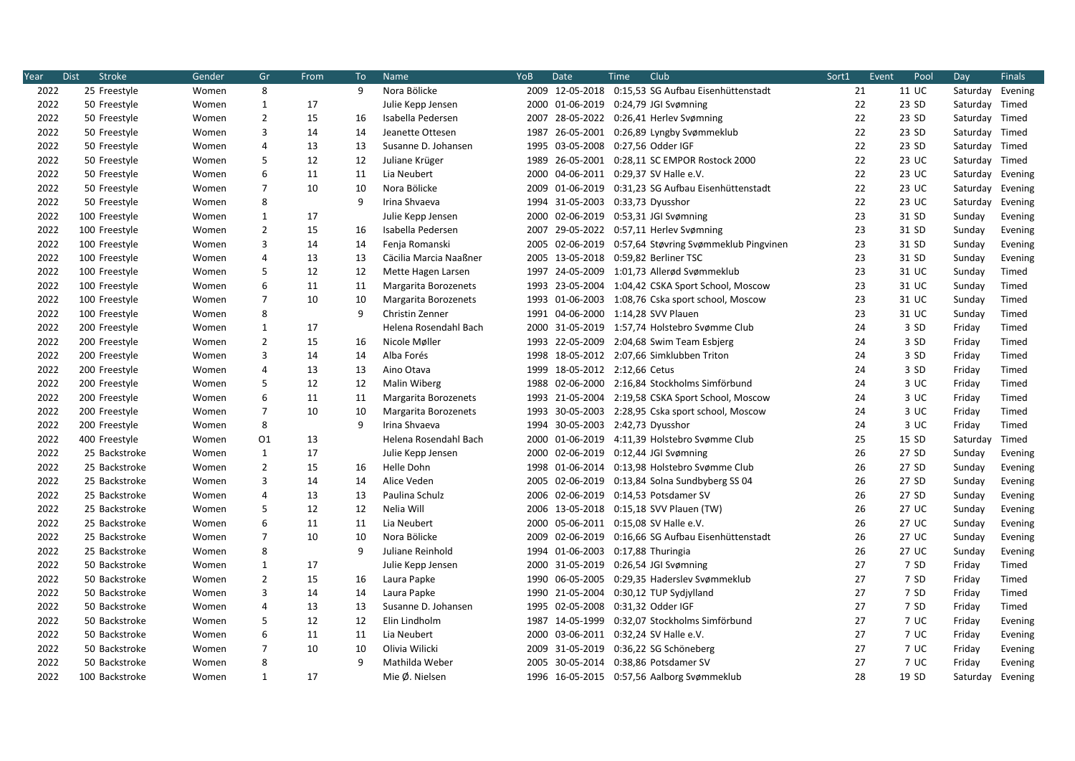| Year | <b>Stroke</b><br><b>Dist</b> | Gender | Gr             | From | To           | <b>Name</b>            | YoB  | Date            | Club<br>Time                                          | Sort1 | Event | Pool  | Day              | <b>Finals</b> |
|------|------------------------------|--------|----------------|------|--------------|------------------------|------|-----------------|-------------------------------------------------------|-------|-------|-------|------------------|---------------|
| 2022 | 25 Freestyle                 | Women  | 8              |      | 9            | Nora Bölicke           |      |                 | 2009 12-05-2018 0:15,53 SG Aufbau Eisenhüttenstadt    | 21    |       | 11 UC | Saturday Evening |               |
| 2022 | 50 Freestyle                 | Women  | $\mathbf{1}$   | 17   |              | Julie Kepp Jensen      |      |                 | 2000 01-06-2019 0:24,79 JGI Svømning                  |       | 22    | 23 SD | Saturday Timed   |               |
| 2022 | 50 Freestyle                 | Women  | $\overline{2}$ | 15   | 16           | Isabella Pedersen      | 2007 | 28-05-2022      | 0:26,41 Herlev Svømning                               |       | 22    | 23 SD | Saturday Timed   |               |
| 2022 | 50 Freestyle                 | Women  | 3              | 14   | 14           | Jeanette Ottesen       | 1987 |                 | 26-05-2001 0:26,89 Lyngby Svømmeklub                  |       | 22    | 23 SD | Saturday Timed   |               |
| 2022 | 50 Freestyle                 | Women  | 4              | 13   | 13           | Susanne D. Johansen    |      |                 | 1995 03-05-2008 0:27,56 Odder IGF                     |       | 22    | 23 SD | Saturday Timed   |               |
| 2022 | 50 Freestyle                 | Women  | 5              | 12   | 12           | Juliane Krüger         | 1989 |                 | 26-05-2001 0:28,11 SC EMPOR Rostock 2000              |       | 22    | 23 UC | Saturday Timed   |               |
| 2022 | 50 Freestyle                 | Women  | 6              | 11   | 11           | Lia Neubert            | 2000 |                 | 04-06-2011 0:29,37 SV Halle e.V.                      | 22    |       | 23 UC | Saturday         | Evening       |
| 2022 | 50 Freestyle                 | Women  | $\overline{7}$ | 10   | 10           | Nora Bölicke           | 2009 |                 | 01-06-2019 0:31,23 SG Aufbau Eisenhüttenstadt         | 22    |       | 23 UC | Saturday         | Evening       |
| 2022 | 50 Freestyle                 | Women  | 8              |      | 9            | Irina Shvaeva          |      |                 | 1994 31-05-2003 0:33,73 Dyusshor                      | 22    |       | 23 UC | Saturday         | Evening       |
| 2022 | 100 Freestyle                | Women  | $\mathbf{1}$   | 17   |              | Julie Kepp Jensen      | 2000 | 02-06-2019      | 0:53,31 JGI Svømning                                  |       | 23    | 31 SD | Sunday           | Evening       |
| 2022 | 100 Freestyle                | Women  | $\overline{2}$ | 15   | 16           | Isabella Pedersen      |      |                 | 2007 29-05-2022 0:57,11 Herlev Svømning               |       | 23    | 31 SD | Sunday           | Evening       |
| 2022 | 100 Freestyle                | Women  | 3              | 14   | 14           | Fenja Romanski         |      |                 | 2005 02-06-2019 0:57,64 Støvring Svømmeklub Pingvinen | 23    |       | 31 SD | Sunday           | Evening       |
| 2022 | 100 Freestyle                | Women  | 4              | 13   | 13           | Cäcilia Marcia Naaßner |      |                 | 2005 13-05-2018 0:59,82 Berliner TSC                  |       | 23    | 31 SD | Sunday           | Evening       |
| 2022 | 100 Freestyle                | Women  | 5              | 12   | 12           | Mette Hagen Larsen     |      |                 | 1997 24-05-2009 1:01,73 Allerød Svømmeklub            | 23    |       | 31 UC | Sunday           | Timed         |
| 2022 | 100 Freestyle                | Women  | 6              | 11   | 11           | Margarita Borozenets   |      |                 | 1993 23-05-2004 1:04,42 CSKA Sport School, Moscow     |       | 23    | 31 UC | Sunday           | Timed         |
| 2022 | 100 Freestyle                | Women  | $\overline{7}$ | 10   | 10           | Margarita Borozenets   |      |                 | 1993 01-06-2003 1:08,76 Cska sport school, Moscow     |       | 23    | 31 UC | Sunday           | Timed         |
| 2022 | 100 Freestyle                | Women  | 8              |      | 9            | Christin Zenner        |      |                 | 1991 04-06-2000 1:14,28 SVV Plauen                    | 23    |       | 31 UC | Sunday           | Timed         |
| 2022 | 200 Freestyle                | Women  | 1              | 17   |              | Helena Rosendahl Bach  |      |                 | 2000 31-05-2019 1:57,74 Holstebro Svømme Club         | 24    |       | 3 SD  | Friday           | Timed         |
| 2022 | 200 Freestyle                | Women  | $\overline{2}$ | 15   | 16           | Nicole Møller          |      |                 | 1993 22-05-2009 2:04,68 Swim Team Esbjerg             | 24    |       | 3 SD  | Friday           | Timed         |
| 2022 | 200 Freestyle                | Women  | 3              | 14   | 14           | Alba Forés             |      |                 | 1998 18-05-2012 2:07,66 Simklubben Triton             | 24    |       | 3 SD  | Friday           | Timed         |
| 2022 | 200 Freestyle                | Women  | 4              | 13   | 13           | Aino Otava             |      |                 | 1999 18-05-2012 2:12,66 Cetus                         | 24    |       | 3 SD  | Friday           | Timed         |
| 2022 | 200 Freestyle                | Women  | 5              | 12   | 12           | Malin Wiberg           |      |                 | 1988 02-06-2000 2:16,84 Stockholms Simförbund         | 24    |       | 3 UC  | Friday           | Timed         |
| 2022 | 200 Freestyle                | Women  | 6              | 11   | 11           | Margarita Borozenets   |      |                 | 1993 21-05-2004 2:19,58 CSKA Sport School, Moscow     |       | 24    | 3 UC  | Friday           | Timed         |
| 2022 | 200 Freestyle                | Women  | $\overline{7}$ | 10   | 10           | Margarita Borozenets   | 1993 |                 | 30-05-2003 2:28,95 Cska sport school, Moscow          |       | 24    | 3UC   | Friday           | Timed         |
| 2022 | 200 Freestyle                | Women  | 8              |      | 9            | Irina Shvaeva          |      |                 | 1994 30-05-2003 2:42,73 Dyusshor                      | 24    |       | 3 UC  | Friday           | Timed         |
| 2022 | 400 Freestyle                | Women  | 01             | 13   |              | Helena Rosendahl Bach  |      |                 | 2000 01-06-2019 4:11,39 Holstebro Svømme Club         | 25    |       | 15 SD | Saturday         | Timed         |
| 2022 | 25 Backstroke                | Women  | $\mathbf{1}$   | 17   |              | Julie Kepp Jensen      | 2000 |                 | 02-06-2019 0:12,44 JGI Svømning                       | 26    |       | 27 SD | Sunday           | Evening       |
| 2022 | 25 Backstroke                | Women  | $\overline{2}$ | 15   | 16           | Helle Dohn             |      |                 | 1998 01-06-2014 0:13,98 Holstebro Svømme Club         |       | 26    | 27 SD | Sunday           | Evening       |
| 2022 | 25 Backstroke                | Women  | 3              | 14   | 14           | Alice Veden            |      |                 | 2005 02-06-2019 0:13,84 Solna Sundbyberg SS 04        |       | 26    | 27 SD | Sunday           | Evening       |
| 2022 | 25 Backstroke                | Women  | 4              | 13   | 13           | Paulina Schulz         |      |                 | 2006 02-06-2019 0:14,53 Potsdamer SV                  |       | 26    | 27 SD | Sunday           | Evening       |
| 2022 | 25 Backstroke                | Women  | 5              | 12   | 12           | Nelia Will             |      |                 | 2006 13-05-2018 0:15,18 SVV Plauen (TW)               |       | 26    | 27 UC | Sunday           | Evening       |
| 2022 | 25 Backstroke                | Women  | 6              | 11   | 11           | Lia Neubert            |      |                 | 2000 05-06-2011 0:15,08 SV Halle e.V.                 | 26    |       | 27 UC | Sunday           | Evening       |
| 2022 | 25 Backstroke                | Women  | $\overline{7}$ | 10   | 10           | Nora Bölicke           |      |                 | 2009 02-06-2019 0:16,66 SG Aufbau Eisenhüttenstadt    | 26    |       | 27 UC | Sunday           | Evening       |
| 2022 | 25 Backstroke                | Women  | 8              |      | 9            | Juliane Reinhold       |      | 1994 01-06-2003 | 0:17,88 Thuringia                                     | 26    |       | 27 UC | Sunday           | Evening       |
| 2022 | 50 Backstroke                | Women  | 1              | 17   |              | Julie Kepp Jensen      |      |                 | 2000 31-05-2019 0:26,54 JGI Svømning                  | 27    |       | 7 SD  | Friday           | Timed         |
| 2022 | 50 Backstroke                | Women  | $\overline{2}$ | 15   | 16           | Laura Papke            | 1990 |                 | 06-05-2005 0:29,35 Haderslev Svømmeklub               | 27    |       | 7 SD  | Friday           | Timed         |
| 2022 | 50 Backstroke                | Women  | 3              | 14   | 14           | Laura Papke            |      |                 | 1990 21-05-2004 0:30,12 TUP Sydjylland                | 27    |       | 7 SD  | Friday           | Timed         |
| 2022 | 50 Backstroke                | Women  | 4              | 13   | 13           | Susanne D. Johansen    |      | 1995 02-05-2008 | 0:31,32 Odder IGF                                     | 27    |       | 7 SD  | Friday           | Timed         |
| 2022 | 50 Backstroke                | Women  | 5              | 12   | 12           | Elin Lindholm          |      | 1987 14-05-1999 | 0:32,07 Stockholms Simförbund                         | 27    |       | 7 UC  | Friday           | Evening       |
| 2022 | 50 Backstroke                | Women  | 6              | 11   | 11           | Lia Neubert            |      |                 | 2000 03-06-2011 0:32,24 SV Halle e.V.                 | 27    |       | 7 UC  | Friday           | Evening       |
| 2022 | 50 Backstroke                | Women  | 7              | 10   | 10           | Olivia Wilicki         | 2009 | 31-05-2019      | 0:36,22 SG Schöneberg                                 | 27    |       | 7 UC  | Friday           | Evening       |
| 2022 | 50 Backstroke                | Women  | 8              |      | $\mathsf{q}$ | Mathilda Weber         |      |                 | 2005 30-05-2014 0:38,86 Potsdamer SV                  | 27    |       | 7 UC  | Friday           | Evening       |
| 2022 | 100 Backstroke               | Women  | $\mathbf{1}$   | 17   |              | Mie Ø. Nielsen         |      |                 | 1996 16-05-2015 0:57,56 Aalborg Svømmeklub            |       | 28    | 19 SD | Saturday         | Evening       |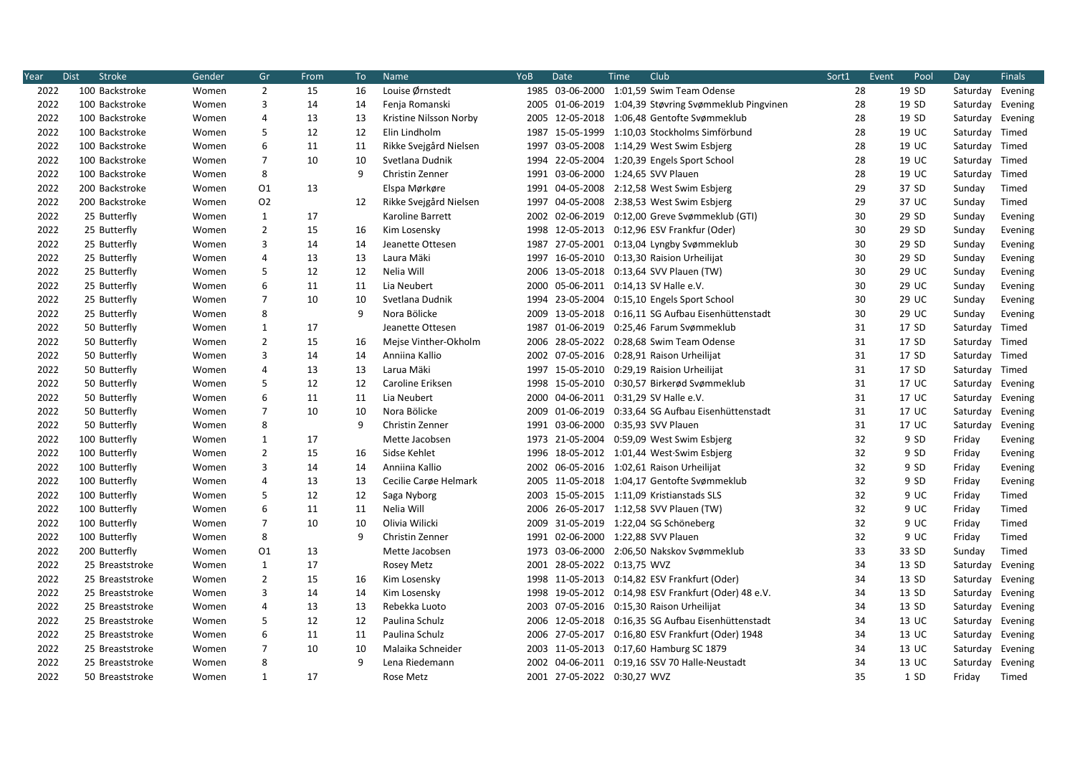| Year | <b>Stroke</b><br><b>Dist</b> | Gender | Gr             | From | To           | <b>Name</b>            | YoB  | Date            | Club<br>Time                                          | Sort1 | Event | Pool  | Day              | <b>Finals</b> |
|------|------------------------------|--------|----------------|------|--------------|------------------------|------|-----------------|-------------------------------------------------------|-------|-------|-------|------------------|---------------|
| 2022 | 100 Backstroke               | Women  | $\overline{2}$ | 15   | 16           | Louise Ørnstedt        |      |                 | 1985 03-06-2000 1:01,59 Swim Team Odense              | 28    |       | 19 SD | Saturday Evening |               |
| 2022 | 100 Backstroke               | Women  | 3              | 14   | 14           | Fenja Romanski         |      |                 | 2005 01-06-2019 1:04,39 Støvring Svømmeklub Pingvinen | 28    |       | 19 SD | Saturday Evening |               |
| 2022 | 100 Backstroke               | Women  | $\overline{4}$ | 13   | 13           | Kristine Nilsson Norby | 2005 | 12-05-2018      | 1:06,48 Gentofte Svømmeklub                           | 28    |       | 19 SD | Saturday Evening |               |
| 2022 | 100 Backstroke               | Women  | 5              | 12   | 12           | Elin Lindholm          | 1987 | 15-05-1999      | 1:10,03 Stockholms Simförbund                         | 28    |       | 19 UC | Saturday Timed   |               |
| 2022 | 100 Backstroke               | Women  | 6              | 11   | 11           | Rikke Svejgård Nielsen | 1997 |                 | 03-05-2008 1:14,29 West Swim Esbjerg                  | 28    |       | 19 UC | Saturday Timed   |               |
| 2022 | 100 Backstroke               | Women  | $\overline{7}$ | 10   | 10           | Svetlana Dudnik        | 1994 |                 | 22-05-2004 1:20,39 Engels Sport School                | 28    |       | 19 UC | Saturday Timed   |               |
| 2022 | 100 Backstroke               | Women  | 8              |      | 9            | Christin Zenner        | 1991 | 03-06-2000      | 1:24,65 SVV Plauen                                    | 28    |       | 19 UC | Saturday         | Timed         |
| 2022 | 200 Backstroke               | Women  | 01             | 13   |              | Elspa Mørkøre          |      |                 | 1991 04-05-2008 2:12,58 West Swim Esbjerg             | 29    |       | 37 SD | Sunday           | Timed         |
| 2022 | 200 Backstroke               | Women  | 02             |      | 12           | Rikke Svejgård Nielsen | 1997 |                 | 04-05-2008 2:38,53 West Swim Esbjerg                  | 29    |       | 37 UC | Sunday           | Timed         |
| 2022 | 25 Butterfly                 | Women  | $\mathbf{1}$   | 17   |              | Karoline Barrett       |      | 2002 02-06-2019 | 0:12,00 Greve Svømmeklub (GTI)                        | 30    |       | 29 SD | Sunday           | Evening       |
| 2022 | 25 Butterfly                 | Women  | $\overline{2}$ | 15   | 16           | Kim Losensky           |      |                 | 1998 12-05-2013 0:12,96 ESV Frankfur (Oder)           | 30    |       | 29 SD | Sunday           | Evening       |
| 2022 | 25 Butterfly                 | Women  | 3              | 14   | 14           | Jeanette Ottesen       |      |                 | 1987 27-05-2001 0:13,04 Lyngby Svømmeklub             | 30    |       | 29 SD | Sunday           | Evening       |
| 2022 | 25 Butterfly                 | Women  | $\overline{4}$ | 13   | 13           | Laura Mäki             | 1997 |                 | 16-05-2010  0:13,30 Raision Urheilijat                | 30    |       | 29 SD | Sunday           | Evening       |
| 2022 | 25 Butterfly                 | Women  | 5              | 12   | 12           | Nelia Will             |      |                 | 2006 13-05-2018 0:13,64 SVV Plauen (TW)               | 30    |       | 29 UC | Sunday           | Evening       |
| 2022 | 25 Butterfly                 | Women  | 6              | 11   | 11           | Lia Neubert            |      |                 | 2000 05-06-2011 0:14,13 SV Halle e.V.                 | 30    |       | 29 UC | Sunday           | Evening       |
| 2022 | 25 Butterfly                 | Women  | $\overline{7}$ | 10   | 10           | Svetlana Dudnik        |      |                 | 1994 23-05-2004 0:15,10 Engels Sport School           | 30    |       | 29 UC | Sunday           | Evening       |
| 2022 | 25 Butterfly                 | Women  | 8              |      | 9            | Nora Bölicke           | 2009 | 13-05-2018      | 0:16,11 SG Aufbau Eisenhüttenstadt                    | 30    |       | 29 UC | Sunday           | Evening       |
| 2022 | 50 Butterfly                 | Women  | $\mathbf{1}$   | 17   |              | Jeanette Ottesen       | 1987 |                 | 01-06-2019 0:25,46 Farum Svømmeklub                   | 31    |       | 17 SD | Saturday         | Timed         |
| 2022 | 50 Butterfly                 | Women  | $\overline{2}$ | 15   | 16           | Mejse Vinther-Okholm   |      |                 | 2006 28-05-2022 0:28,68 Swim Team Odense              | 31    |       | 17 SD | Saturday Timed   |               |
| 2022 | 50 Butterfly                 | Women  | 3              | 14   | 14           | Anniina Kallio         | 2002 |                 | 07-05-2016  0:28,91  Raison Urheilijat                | 31    |       | 17 SD | Saturday Timed   |               |
| 2022 | 50 Butterfly                 | Women  | $\overline{4}$ | 13   | 13           | Larua Mäki             |      |                 | 1997 15-05-2010 0:29,19 Raision Urheilijat            | 31    |       | 17 SD | Saturday Timed   |               |
| 2022 | 50 Butterfly                 | Women  | 5              | 12   | 12           | Caroline Eriksen       |      |                 | 1998 15-05-2010 0:30,57 Birkerød Svømmeklub           | 31    |       | 17 UC | Saturday         | Evening       |
| 2022 | 50 Butterfly                 | Women  | 6              | 11   | 11           | Lia Neubert            |      |                 | 2000 04-06-2011 0:31,29 SV Halle e.V.                 | 31    |       | 17 UC | Saturday Evening |               |
| 2022 | 50 Butterfly                 | Women  | $\overline{7}$ | 10   | 10           | Nora Bölicke           | 2009 |                 | 01-06-2019 0:33,64 SG Aufbau Eisenhüttenstadt         | 31    |       | 17 UC | Saturday         | Evening       |
| 2022 | 50 Butterfly                 | Women  | 8              |      | 9            | Christin Zenner        |      |                 | 1991 03-06-2000 0:35,93 SVV Plauen                    | 31    |       | 17 UC | Saturday         | Evening       |
| 2022 | 100 Butterfly                | Women  | $\mathbf{1}$   | 17   |              | Mette Jacobsen         |      |                 | 1973 21-05-2004 0:59,09 West Swim Esbjerg             | 32    |       | 9 SD  | Friday           | Evening       |
| 2022 | 100 Butterfly                | Women  | $\overline{2}$ | 15   | 16           | Sidse Kehlet           |      |                 | 1996 18-05-2012 1:01,44 West.Swim Esbjerg             | 32    |       | 9 SD  | Friday           | Evening       |
| 2022 | 100 Butterfly                | Women  | 3              | 14   | 14           | Anniina Kallio         |      |                 | 2002 06-05-2016 1:02,61 Raison Urheilijat             | 32    |       | 9 SD  | Friday           | Evening       |
| 2022 | 100 Butterfly                | Women  | $\overline{4}$ | 13   | 13           | Cecilie Carøe Helmark  |      |                 | 2005 11-05-2018 1:04,17 Gentofte Svømmeklub           | 32    |       | 9 SD  | Friday           | Evening       |
| 2022 | 100 Butterfly                | Women  | 5              | 12   | 12           | Saga Nyborg            |      |                 | 2003 15-05-2015 1:11,09 Kristianstads SLS             | 32    |       | 9 UC  | Friday           | Timed         |
| 2022 | 100 Butterfly                | Women  | 6              | 11   | 11           | Nelia Will             | 2006 |                 | 26-05-2017 1:12,58 SVV Plauen (TW)                    | 32    |       | 9 UC  | Friday           | Timed         |
| 2022 | 100 Butterfly                | Women  | $\overline{7}$ | 10   | 10           | Olivia Wilicki         |      |                 | 2009 31-05-2019 1:22,04 SG Schöneberg                 | 32    |       | 9 UC  | Friday           | Timed         |
| 2022 | 100 Butterfly                | Women  | 8              |      | 9            | Christin Zenner        |      |                 | 1991 02-06-2000 1:22,88 SVV Plauen                    | 32    |       | 9 UC  | Friday           | Timed         |
| 2022 | 200 Butterfly                | Women  | 01             | 13   |              | Mette Jacobsen         | 1973 | 03-06-2000      | 2:06,50 Nakskov Svømmeklub                            | 33    |       | 33 SD | Sunday           | Timed         |
| 2022 | 25 Breaststroke              | Women  | 1              | 17   |              | Rosey Metz             |      |                 | 2001 28-05-2022 0:13,75 WVZ                           | 34    |       | 13 SD | Saturday         | Evening       |
| 2022 | 25 Breaststroke              | Women  | $\overline{2}$ | 15   | 16           | Kim Losensky           |      |                 | 1998 11-05-2013 0:14,82 ESV Frankfurt (Oder)          | 34    |       | 13 SD | Saturday         | Evening       |
| 2022 | 25 Breaststroke              | Women  | 3              | 14   | 14           | Kim Losensky           |      |                 | 1998 19-05-2012 0:14,98 ESV Frankfurt (Oder) 48 e.V.  | 34    |       | 13 SD | Saturday Evening |               |
| 2022 | 25 Breaststroke              | Women  | $\overline{4}$ | 13   | 13           | Rebekka Luoto          |      |                 | 2003 07-05-2016 0:15,30 Raison Urheilijat             | 34    |       | 13 SD | Saturday Evening |               |
| 2022 | 25 Breaststroke              | Women  | 5              | 12   | 12           | Paulina Schulz         |      |                 | 2006 12-05-2018 0:16,35 SG Aufbau Eisenhüttenstadt    | 34    |       | 13 UC | Saturday Evening |               |
| 2022 | 25 Breaststroke              | Women  | 6              | 11   | 11           | Paulina Schulz         |      |                 | 2006 27-05-2017 0:16,80 ESV Frankfurt (Oder) 1948     | 34    |       | 13 UC | Saturday Evening |               |
| 2022 | 25 Breaststroke              | Women  | 7              | 10   | 10           | Malaika Schneider      |      |                 | 2003 11-05-2013 0:17,60 Hamburg SC 1879               | 34    |       | 13 UC | Saturday Evening |               |
| 2022 | 25 Breaststroke              | Women  | 8              |      | $\mathsf{q}$ | Lena Riedemann         |      |                 | 2002 04-06-2011 0:19,16 SSV 70 Halle-Neustadt         | 34    |       | 13 UC | Saturday Evening |               |
| 2022 | 50 Breaststroke              | Women  | $\mathbf{1}$   | 17   |              | Rose Metz              |      |                 | 2001 27-05-2022 0:30,27 WVZ                           | 35    |       | 1 SD  | Friday           | Timed         |